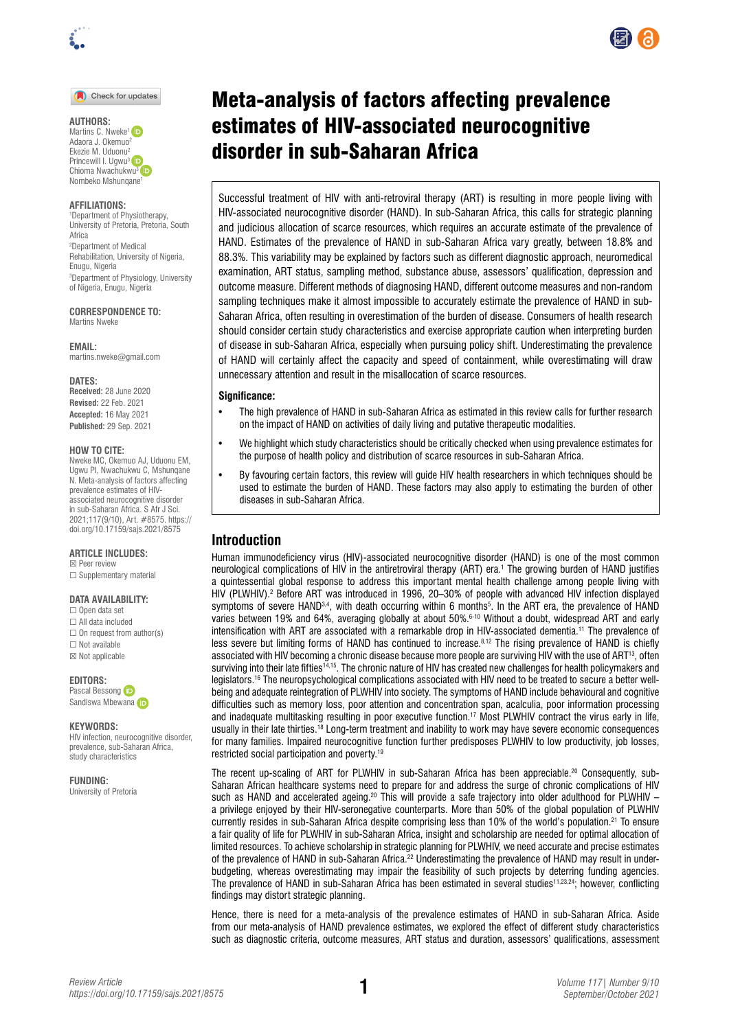

Check for updates

#### **AUTHORS:**

Martins C. Nweke<sup>1</sup> Adaora J. Okemuo2 Ekezie M. Uduonu2 Princewill I. Ugwu<sup>3</sup> Chioma Nwachukwu<sup>3</sup> iD Nombeko Mshunqane1

#### **AFFILIATIONS:**

1 Department of Physiotherapy, University of Pretoria, Pretoria, South Africa 2 Department of Medical Rehabilitation, University of Nigeria, Enugu, Nigeria 3 Department of Physiology, University of Nigeria, Enugu, Nigeria

**CORRESPONDENCE TO:**  Martins Nweke

**EMAIL:**  [martins.nweke@gmail.com](mailto:martins.nweke@gmail.com)

**DATES: Received:** 28 June 2020 **Revised:** 22 Feb. 2021 **Accepted:** 16 May 2021 **Published:** 29 Sep. 2021

#### **HOW TO CITE:**

Nweke MC, Okemuo AJ, Uduonu EM, Ugwu PI, Nwachukwu C, Mshunqane N. Meta-analysis of factors affecting prevalence estimates of HIVassociated neurocognitive disorder in sub-Saharan Africa. S Afr J Sci. 2021;117(9/10), Art. #8575. [https://](https://doi.org/10.17159/sajs.2021/8575) [doi.org/10.17159/sajs.2021/8575](https://doi.org/10.17159/sajs.2021/8575)

### **ARTICLE INCLUDES:**

☒ Peer review □ Supplementary material

#### **DATA AVAILABILITY:**

☐ Open data set ☐ All data included  $\Box$  On request from author(s) ☐ Not available ☒ Not applicable

**EDITORS:**  PascalBessong (D

Sandisw[a](https://orcid.org/0000-0002-8722-2508) Mbewana (ip

**KEYWORDS:** 

HIV infection, neurocognitive disorder, prevalence, sub-Saharan Africa, study characteristics

**FUNDING:**  University of Pretoria

# Meta-analysis of factors affecting prevalence estimates of HIV-associated neurocognitive disorder in sub-Saharan Africa

Successful treatment of HIV with anti-retroviral therapy (ART) is resulting in more people living with HIV-associated neurocognitive disorder (HAND). In sub-Saharan Africa, this calls for strategic planning and judicious allocation of scarce resources, which requires an accurate estimate of the prevalence of HAND. Estimates of the prevalence of HAND in sub-Saharan Africa vary greatly, between 18.8% and 88.3%. This variability may be explained by factors such as different diagnostic approach, neuromedical examination, ART status, sampling method, substance abuse, assessors' qualification, depression and outcome measure. Different methods of diagnosing HAND, different outcome measures and non-random sampling techniques make it almost impossible to accurately estimate the prevalence of HAND in sub-Saharan Africa, often resulting in overestimation of the burden of disease. Consumers of health research should consider certain study characteristics and exercise appropriate caution when interpreting burden of disease in sub-Saharan Africa, especially when pursuing policy shift. Underestimating the prevalence of HAND will certainly affect the capacity and speed of containment, while overestimating will draw unnecessary attention and result in the misallocation of scarce resources.

#### **Significance:**

- The high prevalence of HAND in sub-Saharan Africa as estimated in this review calls for further research on the impact of HAND on activities of daily living and putative therapeutic modalities.
- We highlight which study characteristics should be critically checked when using prevalence estimates for the purpose of health policy and distribution of scarce resources in sub-Saharan Africa.
- By favouring certain factors, this review will guide HIV health researchers in which techniques should be used to estimate the burden of HAND. These factors may also apply to estimating the burden of other diseases in sub-Saharan Africa.

## **Introduction**

Human immunodeficiency virus (HIV)-associated neurocognitive disorder (HAND) is one of the most common neurological complications of HIV in the antiretroviral therapy (ART) era.<sup>1</sup> The growing burden of HAND justifies a quintessential global response to address this important mental health challenge among people living with HIV (PLWHIV).<sup>2</sup> Before ART was introduced in 1996, 20–30% of people with advanced HIV infection displayed symptoms of severe HAND<sup>3,4</sup>, with death occurring within 6 months<sup>5</sup>. In the ART era, the prevalence of HAND varies between 19% and 64%, averaging globally at about 50%.6-10 Without a doubt, widespread ART and early intensification with ART are associated with a remarkable drop in HIV-associated dementia.11 The prevalence of less severe but limiting forms of HAND has continued to increase.8,12 The rising prevalence of HAND is chiefly associated with HIV becoming a chronic disease because more people are surviving HIV with the use of ART<sup>13</sup>, often surviving into their late fifties14,15. The chronic nature of HIV has created new challenges for health policymakers and legislators.16 The neuropsychological complications associated with HIV need to be treated to secure a better wellbeing and adequate reintegration of PLWHIV into society. The symptoms of HAND include behavioural and cognitive difficulties such as memory loss, poor attention and concentration span, acalculia, poor information processing and inadequate multitasking resulting in poor executive function.<sup>17</sup> Most PLWHIV contract the virus early in life, usually in their late thirties.<sup>18</sup> Long-term treatment and inability to work may have severe economic consequences for many families. Impaired neurocognitive function further predisposes PLWHIV to low productivity, job losses, restricted social participation and poverty.19

The recent up-scaling of ART for PLWHIV in sub-Saharan Africa has been appreciable.<sup>20</sup> Consequently, sub-Saharan African healthcare systems need to prepare for and address the surge of chronic complications of HIV such as HAND and accelerated ageing.<sup>20</sup> This will provide a safe trajectory into older adulthood for PLWHIV – a privilege enjoyed by their HIV-seronegative counterparts. More than 50% of the global population of PLWHIV currently resides in sub-Saharan Africa despite comprising less than 10% of the world's population.<sup>21</sup> To ensure a fair quality of life for PLWHIV in sub-Saharan Africa, insight and scholarship are needed for optimal allocation of limited resources. To achieve scholarship in strategic planning for PLWHIV, we need accurate and precise estimates of the prevalence of HAND in sub-Saharan Africa.<sup>22</sup> Underestimating the prevalence of HAND may result in underbudgeting, whereas overestimating may impair the feasibility of such projects by deterring funding agencies. The prevalence of HAND in sub-Saharan Africa has been estimated in several studies<sup>11,23,24</sup>; however, conflicting findings may distort strategic planning.

Hence, there is need for a meta-analysis of the prevalence estimates of HAND in sub-Saharan Africa. Aside from our meta-analysis of HAND prevalence estimates, we explored the effect of different study characteristics such as diagnostic criteria, outcome measures, ART status and duration, assessors' qualifications, assessment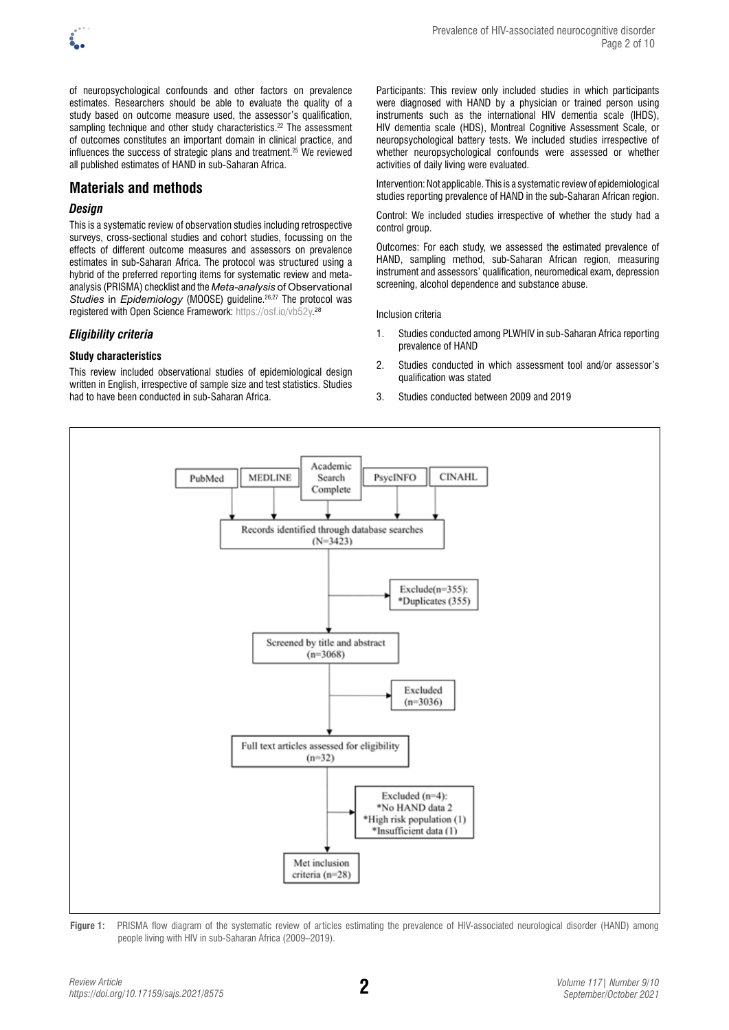

of neuropsychological confounds and other factors on prevalence estimates. Researchers should be able to evaluate the quality of a study based on outcome measure used, the assessor's qualification, sampling technique and other study characteristics.<sup>22</sup> The assessment of outcomes constitutes an important domain in clinical practice, and influences the success of strategic plans and treatment.25 We reviewed all published estimates of HAND in sub-Saharan Africa.

# **Materials and methods**

## *Design*

This is a systematic review of observation studies including retrospective surveys, cross-sectional studies and cohort studies, focussing on the effects of different outcome measures and assessors on prevalence estimates in sub-Saharan Africa. The protocol was structured using a hybrid of the preferred reporting items for systematic review and metaanalysis (PRISMA) checklist and the *Meta-analysis* of Observational *Studies* in *Epidemiology* (MOOSE) guideline.26,27 The protocol was registered with Open Science Framework: [https://osf.io/vb52y.](https://osf.io/vb52y) 28

## *Eligibility criteria*

## **Study characteristics**

This review included observational studies of epidemiological design written in English, irrespective of sample size and test statistics. Studies had to have been conducted in sub-Saharan Africa.

Participants: This review only included studies in which participants were diagnosed with HAND by a physician or trained person using instruments such as the international HIV dementia scale (IHDS), HIV dementia scale (HDS), Montreal Cognitive Assessment Scale, or neuropsychological battery tests. We included studies irrespective of whether neuropsychological confounds were assessed or whether activities of daily living were evaluated.

Intervention: Not applicable. This is a systematic review of epidemiological studies reporting prevalence of HAND in the sub-Saharan African region.

Control: We included studies irrespective of whether the study had a control group.

Outcomes: For each study, we assessed the estimated prevalence of HAND, sampling method, sub-Saharan African region, measuring instrument and assessors' qualification, neuromedical exam, depression screening, alcohol dependence and substance abuse.

Inclusion criteria

- 1. Studies conducted among PLWHIV in sub-Saharan Africa reporting prevalence of HAND
- 2. Studies conducted in which assessment tool and/or assessor's qualification was stated
- 3. Studies conducted between 2009 and 2019



**Figure 1:** PRISMA flow diagram of the systematic review of articles estimating the prevalence of HIV-associated neurological disorder (HAND) among people living with HIV in sub-Saharan Africa (2009–2019).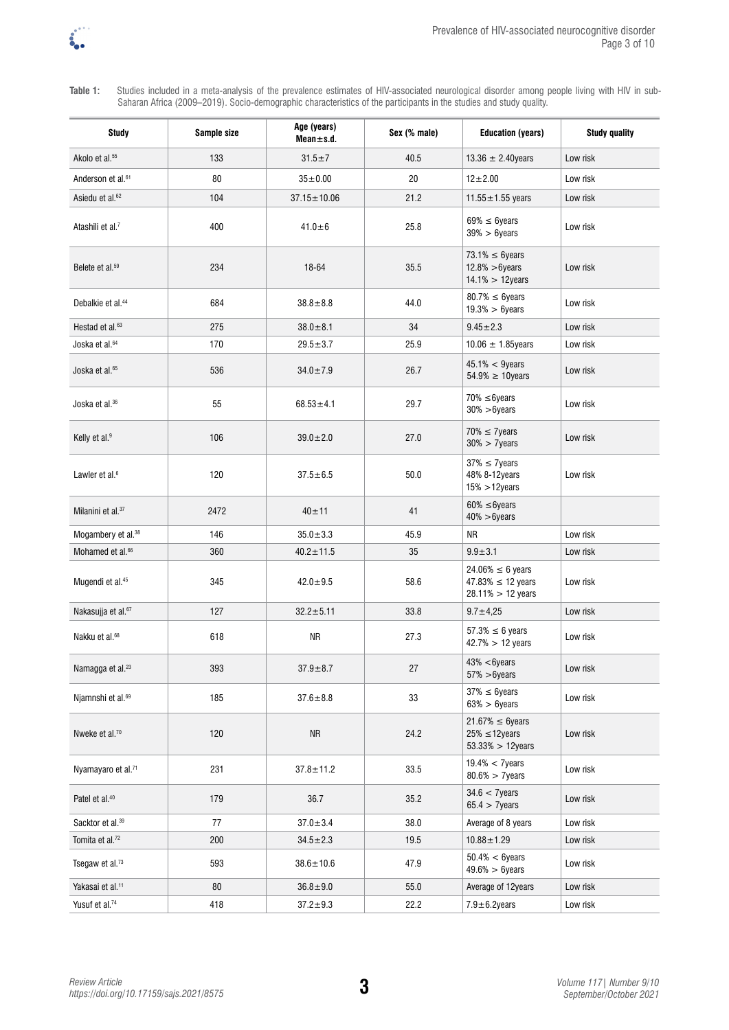

**Table 1:** Studies included in a meta-analysis of the prevalence estimates of HIV-associated neurological disorder among people living with HIV in sub-Saharan Africa (2009–2019). Socio-demographic characteristics of the participants in the studies and study quality.

| <b>Study</b>                   | Sample size | Age (years)<br>$Mean \pm s.d.$ | Sex (% male) | <b>Education (years)</b>                                                | <b>Study quality</b> |  |
|--------------------------------|-------------|--------------------------------|--------------|-------------------------------------------------------------------------|----------------------|--|
| Akolo et al. <sup>55</sup>     | 133         | $31.5 \pm 7$                   | 40.5         | 13.36 $\pm$ 2.40 years                                                  | Low risk             |  |
| Anderson et al. <sup>61</sup>  | 80          | $35 + 0.00$                    | 20           | $12 + 2.00$                                                             | Low risk             |  |
| Asiedu et al. <sup>62</sup>    | 104         | $37.15 \pm 10.06$              | 21.2         | $11.55 \pm 1.55$ years                                                  | Low risk             |  |
| Atashili et al. <sup>7</sup>   | 400         | $41.0 + 6$                     | 25.8         | $69\% \leq 6$ years<br>$39\% > 6$ years                                 | Low risk             |  |
| Belete et al. <sup>59</sup>    | 234         | 18-64                          | 35.5         | $73.1\% \leq 6$ years<br>$12.8\% > 6$ years<br>$14.1\% > 12$ years      | Low risk             |  |
| Debalkie et al. <sup>44</sup>  | 684         | $38.8 \pm 8.8$                 | 44.0         | $80.7\% \leq 6$ years<br>$19.3\% > 6$ years                             | Low risk             |  |
| Hestad et al. <sup>63</sup>    | 275         | $38.0 + 8.1$                   | 34           | $9.45 \pm 2.3$                                                          | Low risk             |  |
| Joska et al. <sup>64</sup>     | 170         | $29.5 + 3.7$                   | 25.9         | 10.06 $\pm$ 1.85 years                                                  | Low risk             |  |
| Joska et al. <sup>65</sup>     | 536         | $34.0 \pm 7.9$                 | 26.7         | $45.1\% < 9$ years<br>$54.9\% \geq 10$ years                            | Low risk             |  |
| Joska et al. <sup>36</sup>     | 55          | $68.53 \pm 4.1$                | 29.7         | $70\% \leq 6$ years<br>$30\% > 6$ years                                 | Low risk             |  |
| Kelly et al. <sup>9</sup>      | 106         | $39.0 \pm 2.0$                 | 27.0         | $70\% \leq 7$ years<br>$30\% > 7$ years                                 | Low risk             |  |
| Lawler et al. <sup>6</sup>     | 120         | $37.5 + 6.5$                   | 50.0         | $37\% \leq 7$ years<br>48% 8-12years<br>$15\% > 12$ years               | Low risk             |  |
| Milanini et al. <sup>37</sup>  | 2472        | $40 \pm 11$                    | 41           | $60\% \leq 6$ years<br>$40\% > 6$ years                                 |                      |  |
| Mogambery et al. <sup>38</sup> | 146         | $35.0 \pm 3.3$                 | 45.9         | ΝR                                                                      | Low risk             |  |
| Mohamed et al. <sup>66</sup>   | 360         | $40.2 \pm 11.5$                | 35           | $9.9 + 3.1$                                                             | Low risk             |  |
| Mugendi et al. <sup>45</sup>   | 345         | $42.0 \pm 9.5$                 | 58.6         | $24.06\% \le 6$ years<br>$47.83\% \le 12$ years<br>$28.11\% > 12$ years | Low risk             |  |
| Nakasujja et al. <sup>67</sup> | 127         | $32.2 \pm 5.11$                | 33.8         | $9.7 \pm 4.25$                                                          | Low risk             |  |
| Nakku et al. <sup>68</sup>     | 618         | <b>NR</b>                      | 27.3         | $57.3\% \leq 6$ years<br>$42.7\% > 12$ years                            | Low risk             |  |
| Namagga et al. <sup>23</sup>   | 393         | $37.9 \pm 8.7$                 | 27           | 43% <6years<br>$57\% > 6$ years                                         | Low risk             |  |
| Njamnshi et al. <sup>69</sup>  | 185         | $37.6 \pm 8.8$                 | 33           | $37\% \leq 6$ years<br>$63\% > 6$ years                                 | Low risk             |  |
| Nweke et al. <sup>70</sup>     | 120         | NR                             | 24.2         | $21.67\% \leq 6$ years<br>$25\% \leq 12$ years<br>$53.33\% > 12$ years  | Low risk             |  |
| Nyamayaro et al. <sup>71</sup> | 231         | $37.8 \pm 11.2$                | 33.5         | $19.4\% < 7$ years<br>$80.6\% > 7$ years                                | Low risk             |  |
| Patel et al. <sup>40</sup>     | 179         | 36.7                           | 35.2         | $34.6 < 7$ years<br>$65.4 > 7$ years                                    | Low risk             |  |
| Sacktor et al. <sup>39</sup>   | 77          | $37.0 \pm 3.4$                 | 38.0         | Average of 8 years                                                      | Low risk             |  |
| Tomita et al. <sup>72</sup>    | 200         | $34.5 \pm 2.3$                 | 19.5         | $10.88 \pm 1.29$                                                        | Low risk             |  |
| Tsegaw et al.73                | 593         | $38.6 \pm 10.6$                | 47.9         | $50.4\% < 6$ years<br>$49.6\% > 6$ years                                | Low risk             |  |
| Yakasai et al. <sup>11</sup>   | 80          | $36.8 \pm 9.0$                 | 55.0         | Average of 12years                                                      | Low risk             |  |
| Yusuf et al. <sup>74</sup>     | 418         | $37.2 \pm 9.3$                 | 22.2         | $7.9 \pm 6.2$ years                                                     | Low risk             |  |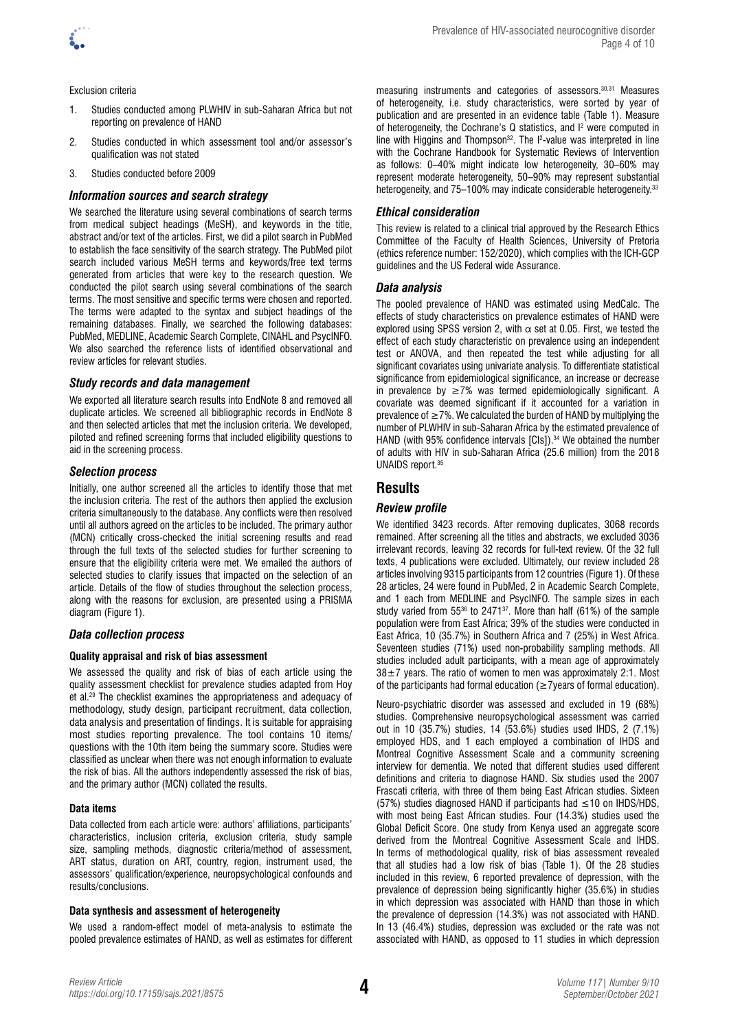

#### Exclusion criteria

- 1. Studies conducted among PLWHIV in sub-Saharan Africa but not reporting on prevalence of HAND
- 2. Studies conducted in which assessment tool and/or assessor's qualification was not stated
- 3. Studies conducted before 2009

#### *Information sources and search strategy*

We searched the literature using several combinations of search terms from medical subject headings (MeSH), and keywords in the title, abstract and/or text of the articles. First, we did a pilot search in PubMed to establish the face sensitivity of the search strategy. The PubMed pilot search included various MeSH terms and keywords/free text terms generated from articles that were key to the research question. We conducted the pilot search using several combinations of the search terms. The most sensitive and specific terms were chosen and reported. The terms were adapted to the syntax and subject headings of the remaining databases. Finally, we searched the following databases: PubMed, MEDLINE, Academic Search Complete, CINAHL and PsycINFO. We also searched the reference lists of identified observational and review articles for relevant studies.

#### *Study records and data management*

We exported all literature search results into EndNote 8 and removed all duplicate articles. We screened all bibliographic records in EndNote 8 and then selected articles that met the inclusion criteria. We developed, piloted and refined screening forms that included eligibility questions to aid in the screening process.

#### *Selection process*

Initially, one author screened all the articles to identify those that met the inclusion criteria. The rest of the authors then applied the exclusion criteria simultaneously to the database. Any conflicts were then resolved until all authors agreed on the articles to be included. The primary author (MCN) critically cross-checked the initial screening results and read through the full texts of the selected studies for further screening to ensure that the eligibility criteria were met. We emailed the authors of selected studies to clarify issues that impacted on the selection of an article. Details of the flow of studies throughout the selection process, along with the reasons for exclusion, are presented using a PRISMA diagram (Figure 1).

#### *Data collection process*

#### **Quality appraisal and risk of bias assessment**

We assessed the quality and risk of bias of each article using the quality assessment checklist for prevalence studies adapted from Hoy et al.29 The checklist examines the appropriateness and adequacy of methodology, study design, participant recruitment, data collection, data analysis and presentation of findings. It is suitable for appraising most studies reporting prevalence. The tool contains 10 items/ questions with the 10th item being the summary score. Studies were classified as unclear when there was not enough information to evaluate the risk of bias. All the authors independently assessed the risk of bias, and the primary author (MCN) collated the results.

#### **Data items**

Data collected from each article were: authors' affiliations, participants' characteristics, inclusion criteria, exclusion criteria, study sample size, sampling methods, diagnostic criteria/method of assessment, ART status, duration on ART, country, region, instrument used, the assessors' qualification/experience, neuropsychological confounds and results/conclusions.

#### **Data synthesis and assessment of heterogeneity**

We used a random-effect model of meta-analysis to estimate the pooled prevalence estimates of HAND, as well as estimates for different measuring instruments and categories of assessors.30,31 Measures of heterogeneity, i.e. study characteristics, were sorted by year of publication and are presented in an evidence table (Table 1). Measure of heterogeneity, the Cochrane's Q statistics, and I<sup>2</sup> were computed in line with Higgins and Thompson $32$ . The  $12$ -value was interpreted in line with the Cochrane Handbook for Systematic Reviews of Intervention as follows: 0–40% might indicate low heterogeneity, 30–60% may represent moderate heterogeneity, 50–90% may represent substantial heterogeneity, and 75–100% may indicate considerable heterogeneity.<sup>33</sup>

#### *Ethical consideration*

This review is related to a clinical trial approved by the Research Ethics Committee of the Faculty of Health Sciences, University of Pretoria (ethics reference number: 152/2020), which complies with the ICH-GCP guidelines and the US Federal wide Assurance.

#### *Data analysis*

The pooled prevalence of HAND was estimated using MedCalc. The effects of study characteristics on prevalence estimates of HAND were explored using SPSS version 2, with  $\alpha$  set at 0.05. First, we tested the effect of each study characteristic on prevalence using an independent test or ANOVA, and then repeated the test while adjusting for all significant covariates using univariate analysis. To differentiate statistical significance from epidemiological significance, an increase or decrease in prevalence by  $\geq 7\%$  was termed epidemiologically significant. A covariate was deemed significant if it accounted for a variation in prevalence of  $\geq$  7%. We calculated the burden of HAND by multiplying the number of PLWHIV in sub-Saharan Africa by the estimated prevalence of HAND (with 95% confidence intervals [CIs]).<sup>34</sup> We obtained the number of adults with HIV in sub-Saharan Africa (25.6 million) from the 2018 UNAIDS report.35

## **Results**

#### *Review profile*

We identified 3423 records. After removing duplicates, 3068 records remained. After screening all the titles and abstracts, we excluded 3036 irrelevant records, leaving 32 records for full-text review. Of the 32 full texts, 4 publications were excluded. Ultimately, our review included 28 articles involving 9315 participants from 12 countries (Figure 1). Of these 28 articles, 24 were found in PubMed, 2 in Academic Search Complete, and 1 each from MEDLINE and PsycINFO. The sample sizes in each study varied from 55<sup>36</sup> to 2471<sup>37</sup>. More than half (61%) of the sample population were from East Africa; 39% of the studies were conducted in East Africa, 10 (35.7%) in Southern Africa and 7 (25%) in West Africa. Seventeen studies (71%) used non-probability sampling methods. All studies included adult participants, with a mean age of approximately  $38\pm7$  years. The ratio of women to men was approximately 2:1. Most of the participants had formal education ( $\geq$ 7years of formal education).

Neuro-psychiatric disorder was assessed and excluded in 19 (68%) studies. Comprehensive neuropsychological assessment was carried out in 10 (35.7%) studies, 14 (53.6%) studies used IHDS, 2 (7.1%) employed HDS, and 1 each employed a combination of IHDS and Montreal Cognitive Assessment Scale and a community screening interview for dementia. We noted that different studies used different definitions and criteria to diagnose HAND. Six studies used the 2007 Frascati criteria, with three of them being East African studies. Sixteen (57%) studies diagnosed HAND if participants had ≤10 on IHDS/HDS, with most being East African studies. Four (14.3%) studies used the Global Deficit Score. One study from Kenya used an aggregate score derived from the Montreal Cognitive Assessment Scale and IHDS. In terms of methodological quality, risk of bias assessment revealed that all studies had a low risk of bias (Table 1). Of the 28 studies included in this review, 6 reported prevalence of depression, with the prevalence of depression being significantly higher (35.6%) in studies in which depression was associated with HAND than those in which the prevalence of depression (14.3%) was not associated with HAND. In 13 (46.4%) studies, depression was excluded or the rate was not associated with HAND, as opposed to 11 studies in which depression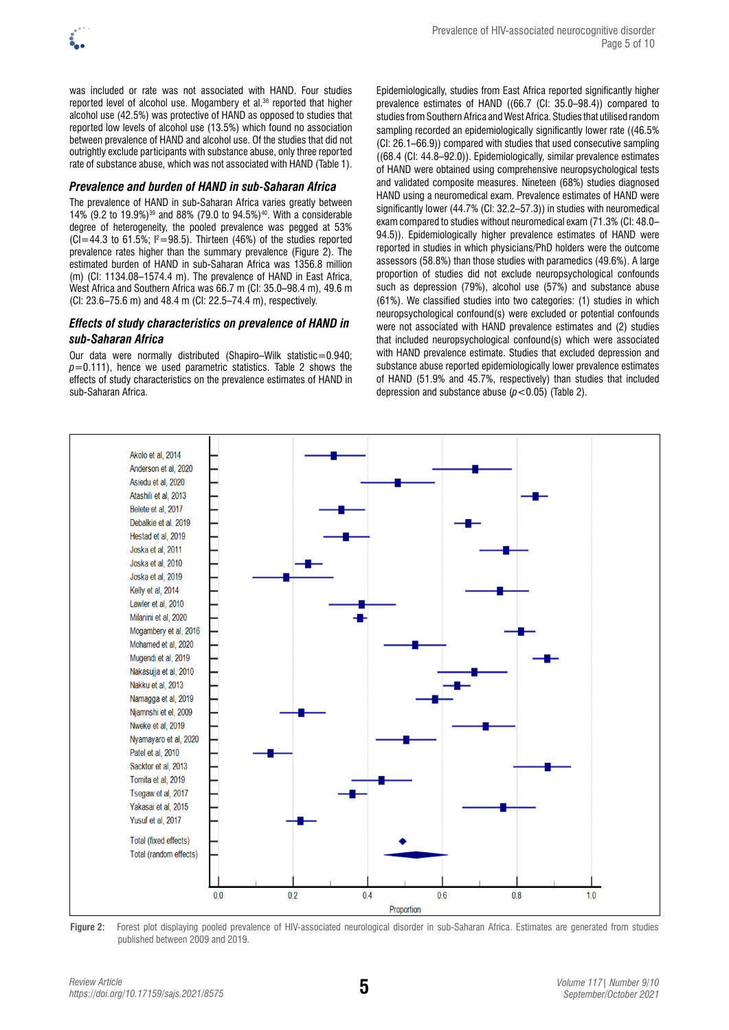

was included or rate was not associated with HAND. Four studies reported level of alcohol use. Mogambery et al.<sup>38</sup> reported that higher alcohol use (42.5%) was protective of HAND as opposed to studies that reported low levels of alcohol use (13.5%) which found no association between prevalence of HAND and alcohol use. Of the studies that did not outrightly exclude participants with substance abuse, only three reported rate of substance abuse, which was not associated with HAND (Table 1).

## *Prevalence and burden of HAND in sub-Saharan Africa*

The prevalence of HAND in sub-Saharan Africa varies greatly between 14% (9.2 to 19.9%)39 and 88% (79.0 to 94.5%)40. With a considerable degree of heterogeneity, the pooled prevalence was pegged at 53%  $(Cl=44.3$  to 61.5%;  $l^2=98.5$ ). Thirteen (46%) of the studies reported prevalence rates higher than the summary prevalence (Figure 2). The estimated burden of HAND in sub-Saharan Africa was 1356.8 million (m) (CI: 1134.08–1574.4 m). The prevalence of HAND in East Africa, West Africa and Southern Africa was 66.7 m (CI: 35.0–98.4 m), 49.6 m (CI: 23.6–75.6 m) and 48.4 m (CI: 22.5–74.4 m), respectively.

## *Effects of study characteristics on prevalence of HAND in sub-Saharan Africa*

Our data were normally distributed (Shapiro–Wilk statistic=0.940;  $p=0.111$ ), hence we used parametric statistics. Table 2 shows the effects of study characteristics on the prevalence estimates of HAND in sub-Saharan Africa.

Epidemiologically, studies from East Africa reported significantly higher prevalence estimates of HAND ((66.7 (CI: 35.0–98.4)) compared to studies from Southern Africa and West Africa. Studies that utilised random sampling recorded an epidemiologically significantly lower rate ((46.5% (CI: 26.1–66.9)) compared with studies that used consecutive sampling ((68.4 (CI: 44.8–92.0)). Epidemiologically, similar prevalence estimates of HAND were obtained using comprehensive neuropsychological tests and validated composite measures. Nineteen (68%) studies diagnosed HAND using a neuromedical exam. Prevalence estimates of HAND were significantly lower (44.7% (CI: 32.2–57.3)) in studies with neuromedical exam compared to studies without neuromedical exam (71.3% (CI: 48.0– 94.5)). Epidemiologically higher prevalence estimates of HAND were reported in studies in which physicians/PhD holders were the outcome assessors (58.8%) than those studies with paramedics (49.6%). A large proportion of studies did not exclude neuropsychological confounds such as depression (79%), alcohol use (57%) and substance abuse (61%). We classified studies into two categories: (1) studies in which neuropsychological confound(s) were excluded or potential confounds were not associated with HAND prevalence estimates and (2) studies that included neuropsychological confound(s) which were associated with HAND prevalence estimate. Studies that excluded depression and substance abuse reported epidemiologically lower prevalence estimates of HAND (51.9% and 45.7%, respectively) than studies that included depression and substance abuse  $(p < 0.05)$  (Table 2).



**Figure 2:** Forest plot displaying pooled prevalence of HIV-associated neurological disorder in sub-Saharan Africa. Estimates are generated from studies published between 2009 and 2019.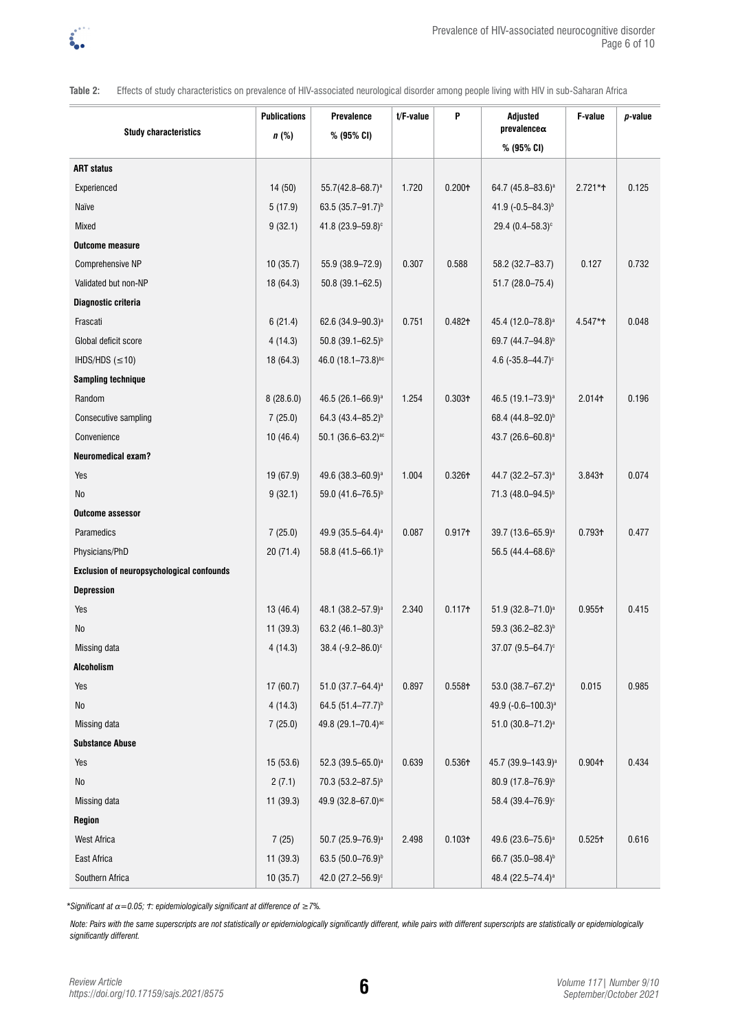

**Table 2:** Effects of study characteristics on prevalence of HIV-associated neurological disorder among people living with HIV in sub-Saharan Africa

| <b>Study characteristics</b>              | <b>Publications</b><br>$n$ (%) | <b>Prevalence</b><br>% (95% CI) | t/F-value | P                  | Adjusted<br>$prevalence \alpha$  | F-value            | $p$ -value |
|-------------------------------------------|--------------------------------|---------------------------------|-----------|--------------------|----------------------------------|--------------------|------------|
|                                           |                                |                                 |           |                    | % (95% CI)                       |                    |            |
| <b>ART status</b>                         |                                |                                 |           |                    |                                  |                    |            |
| Experienced                               | 14 (50)                        | 55.7(42.8-68.7) <sup>a</sup>    | 1.720     | 0.200 <sub>0</sub> | 64.7 (45.8-83.6) <sup>a</sup>    | $2.721**$          | 0.125      |
| Naïve                                     | 5(17.9)                        | 63.5 (35.7-91.7) <sup>b</sup>   |           |                    | 41.9 (-0.5-84.3) <sup>b</sup>    |                    |            |
| Mixed                                     | 9(32.1)                        | 41.8 (23.9-59.8) <sup>c</sup>   |           |                    | 29.4 $(0.4 - 58.3)$ <sup>c</sup> |                    |            |
| <b>Outcome measure</b>                    |                                |                                 |           |                    |                                  |                    |            |
| Comprehensive NP                          | 10(35.7)                       | 55.9 (38.9-72.9)                | 0.307     | 0.588              | 58.2 (32.7-83.7)                 | 0.127              | 0.732      |
| Validated but non-NP                      | 18 (64.3)                      | $50.8(39.1 - 62.5)$             |           |                    | 51.7 (28.0-75.4)                 |                    |            |
| Diagnostic criteria                       |                                |                                 |           |                    |                                  |                    |            |
| Frascati                                  | 6(21.4)                        | 62.6 (34.9-90.3) <sup>a</sup>   | 0.751     | 0.482 <sub>0</sub> | 45.4 (12.0-78.8) <sup>a</sup>    | 4.547*ተ            | 0.048      |
| Global deficit score                      | 4(14.3)                        | $50.8~(39.1 - 62.5)^{b}$        |           |                    | 69.7 (44.7-94.8) <sup>b</sup>    |                    |            |
| IHDS/HDS $(\leq 10)$                      | 18 (64.3)                      | 46.0 (18.1-73.8)bc              |           |                    | 4.6 $(-35.8 - 44.7)$ °           |                    |            |
| <b>Sampling technique</b>                 |                                |                                 |           |                    |                                  |                    |            |
| Random                                    | 8(28.6.0)                      | 46.5 (26.1-66.9) <sup>a</sup>   | 1.254     | 0.303 <sub>†</sub> | 46.5 (19.1-73.9) <sup>a</sup>    | 2.014+             | 0.196      |
| Consecutive sampling                      | 7(25.0)                        | 64.3 (43.4-85.2) <sup>b</sup>   |           |                    | 68.4 (44.8-92.0) <sup>b</sup>    |                    |            |
| Convenience                               | 10(46.4)                       | $50.1 (36.6 - 63.2)^{ac}$       |           |                    | 43.7 (26.6-60.8) <sup>a</sup>    |                    |            |
| <b>Neuromedical exam?</b>                 |                                |                                 |           |                    |                                  |                    |            |
| Yes                                       | 19 (67.9)                      | 49.6 (38.3-60.9) <sup>a</sup>   | 1.004     | 0.3261             | 44.7 (32.2-57.3) <sup>a</sup>    | 3.8431             | 0.074      |
| No                                        | 9(32.1)                        | 59.0 (41.6-76.5) <sup>b</sup>   |           |                    | 71.3 (48.0-94.5) <sup>b</sup>    |                    |            |
| <b>Outcome assessor</b>                   |                                |                                 |           |                    |                                  |                    |            |
| Paramedics                                | 7(25.0)                        | 49.9 (35.5-64.4) <sup>a</sup>   | 0.087     | 0.917 <sub>†</sub> | 39.7 (13.6-65.9) <sup>a</sup>    | 0.7931             | 0.477      |
| Physicians/PhD                            | 20 (71.4)                      | 58.8 (41.5-66.1) <sup>b</sup>   |           |                    | 56.5 (44.4-68.6) <sup>b</sup>    |                    |            |
| Exclusion of neuropsychological confounds |                                |                                 |           |                    |                                  |                    |            |
| <b>Depression</b>                         |                                |                                 |           |                    |                                  |                    |            |
| Yes                                       | 13(46.4)                       | 48.1 (38.2-57.9) <sup>a</sup>   | 2.340     | 0.117 <sub>†</sub> | 51.9 (32.8-71.0) <sup>a</sup>    | 0.9551             | 0.415      |
| No                                        | 11(39.3)                       | 63.2 (46.1-80.3) <sup>b</sup>   |           |                    | 59.3 (36.2-82.3) <sup>b</sup>    |                    |            |
| Missing data                              | 4(14.3)                        | $38.4 (-9.2 - 86.0)$ °          |           |                    | $37.07 (9.5 - 64.7)^c$           |                    |            |
| <b>Alcoholism</b>                         |                                |                                 |           |                    |                                  |                    |            |
| Yes                                       | 17 (60.7)                      | 51.0 (37.7-64.4) <sup>a</sup>   | 0.897     | 0.558 <sup>†</sup> | 53.0 (38.7-67.2) <sup>a</sup>    | 0.015              | 0.985      |
| No                                        | 4(14.3)                        | 64.5 (51.4-77.7) <sup>b</sup>   |           |                    | 49.9 (-0.6-100.3) <sup>a</sup>   |                    |            |
| Missing data                              | 7(25.0)                        | 49.8 (29.1-70.4) <sup>ac</sup>  |           |                    | 51.0 (30.8-71.2) <sup>a</sup>    |                    |            |
| <b>Substance Abuse</b>                    |                                |                                 |           |                    |                                  |                    |            |
| Yes                                       | 15(53.6)                       | 52.3 (39.5-65.0) <sup>a</sup>   | 0.639     | 0.5361             | 45.7 (39.9-143.9) <sup>a</sup>   | 0.904+             | 0.434      |
| No                                        | 2(7.1)                         | 70.3 (53.2-87.5) <sup>b</sup>   |           |                    | 80.9 (17.8-76.9) <sup>b</sup>    |                    |            |
| Missing data                              | 11 (39.3)                      | 49.9 (32.8-67.0) <sup>ac</sup>  |           |                    | 58.4 (39.4-76.9) <sup>c</sup>    |                    |            |
| Region                                    |                                |                                 |           |                    |                                  |                    |            |
| <b>West Africa</b>                        | 7(25)                          | 50.7 (25.9-76.9) <sup>a</sup>   | 2.498     | 0.103 <sup>†</sup> | 49.6 (23.6-75.6) <sup>a</sup>    | 0.525 <sup>†</sup> | 0.616      |
| East Africa                               | 11(39.3)                       | 63.5 (50.0-76.9) <sup>b</sup>   |           |                    | 66.7 (35.0-98.4) <sup>b</sup>    |                    |            |
| Southern Africa                           | 10(35.7)                       | 42.0 (27.2-56.9) <sup>c</sup>   |           |                    | 48.4 (22.5-74.4) <sup>a</sup>    |                    |            |

*\*Significant at α=0.05; Ϯ: epidemiologically significant at difference of ≥7%.* 

Note: Pairs with the same superscripts are not statistically or epidemiologically significantly different, while pairs with different superscripts are statistically or epidemiologically *significantly different.*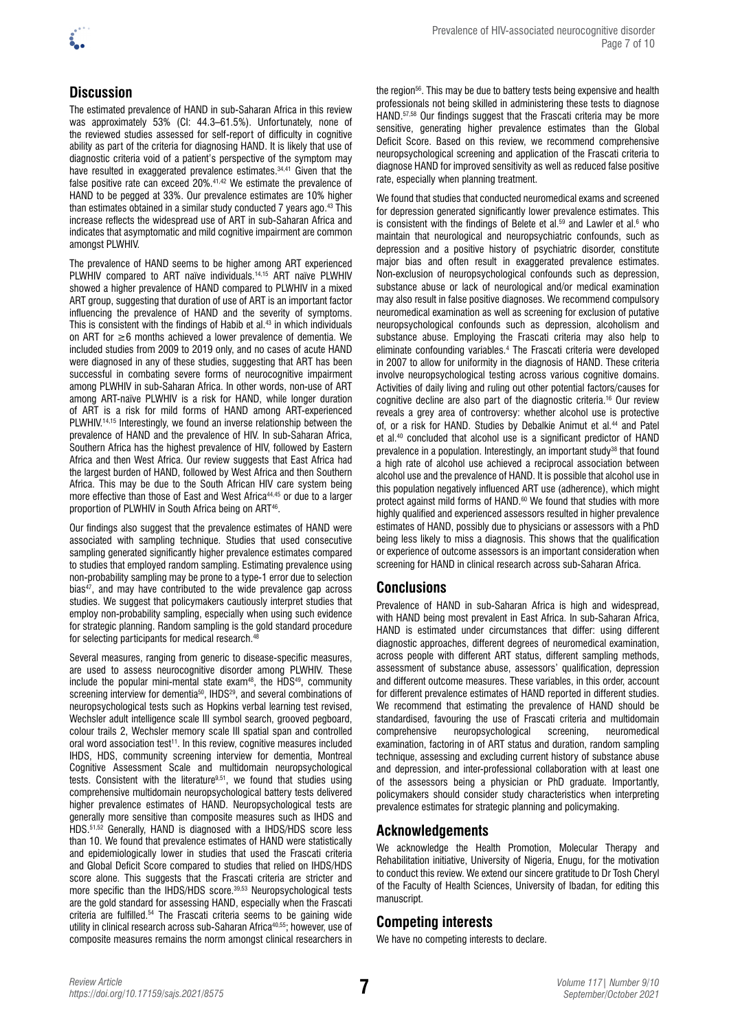

The estimated prevalence of HAND in sub-Saharan Africa in this review was approximately 53% (CI: 44.3–61.5%). Unfortunately, none of the reviewed studies assessed for self-report of difficulty in cognitive ability as part of the criteria for diagnosing HAND. It is likely that use of diagnostic criteria void of a patient's perspective of the symptom may have resulted in exaggerated prevalence estimates.<sup>34,41</sup> Given that the false positive rate can exceed 20%.41,42 We estimate the prevalence of HAND to be pegged at 33%. Our prevalence estimates are 10% higher than estimates obtained in a similar study conducted 7 years ago.<sup>43</sup> This increase reflects the widespread use of ART in sub-Saharan Africa and indicates that asymptomatic and mild cognitive impairment are common amongst PLWHIV.

The prevalence of HAND seems to be higher among ART experienced PLWHIV compared to ART naïve individuals.<sup>14,15</sup> ART naïve PLWHIV showed a higher prevalence of HAND compared to PLWHIV in a mixed ART group, suggesting that duration of use of ART is an important factor influencing the prevalence of HAND and the severity of symptoms. This is consistent with the findings of Habib et al.43 in which individuals on ART for ≥6 months achieved a lower prevalence of dementia. We included studies from 2009 to 2019 only, and no cases of acute HAND were diagnosed in any of these studies, suggesting that ART has been successful in combating severe forms of neurocognitive impairment among PLWHIV in sub-Saharan Africa. In other words, non-use of ART among ART-naïve PLWHIV is a risk for HAND, while longer duration of ART is a risk for mild forms of HAND among ART-experienced PLWHIV.<sup>14,15</sup> Interestingly, we found an inverse relationship between the prevalence of HAND and the prevalence of HIV. In sub-Saharan Africa, Southern Africa has the highest prevalence of HIV, followed by Eastern Africa and then West Africa. Our review suggests that East Africa had the largest burden of HAND, followed by West Africa and then Southern Africa. This may be due to the South African HIV care system being more effective than those of East and West Africa<sup>44,45</sup> or due to a larger proportion of PLWHIV in South Africa being on ART<sup>46</sup>.

Our findings also suggest that the prevalence estimates of HAND were associated with sampling technique. Studies that used consecutive sampling generated significantly higher prevalence estimates compared to studies that employed random sampling. Estimating prevalence using non-probability sampling may be prone to a type-1 error due to selection bias<sup>47</sup>, and may have contributed to the wide prevalence gap across studies. We suggest that policymakers cautiously interpret studies that employ non-probability sampling, especially when using such evidence for strategic planning. Random sampling is the gold standard procedure for selecting participants for medical research.<sup>4</sup>

Several measures, ranging from generic to disease-specific measures, are used to assess neurocognitive disorder among PLWHIV. These include the popular mini-mental state exam<sup>48</sup>, the HDS $49$ , community screening interview for dementia<sup>50</sup>, IHDS<sup>29</sup>, and several combinations of neuropsychological tests such as Hopkins verbal learning test revised, Wechsler adult intelligence scale III symbol search, grooved pegboard, colour trails 2, Wechsler memory scale III spatial span and controlled oral word association test<sup>11</sup>. In this review, cognitive measures included IHDS, HDS, community screening interview for dementia, Montreal Cognitive Assessment Scale and multidomain neuropsychological tests. Consistent with the literature<sup>9,51</sup>, we found that studies using comprehensive multidomain neuropsychological battery tests delivered higher prevalence estimates of HAND. Neuropsychological tests are generally more sensitive than composite measures such as IHDS and HDS.<sup>51,52</sup> Generally, HAND is diagnosed with a IHDS/HDS score less than 10. We found that prevalence estimates of HAND were statistically and epidemiologically lower in studies that used the Frascati criteria and Global Deficit Score compared to studies that relied on IHDS/HDS score alone. This suggests that the Frascati criteria are stricter and more specific than the IHDS/HDS score.39,53 Neuropsychological tests are the gold standard for assessing HAND, especially when the Frascati criteria are fulfilled.54 The Frascati criteria seems to be gaining wide utility in clinical research across sub-Saharan Africa<sup>40,55</sup>; however, use of composite measures remains the norm amongst clinical researchers in

the region<sup>56</sup>. This may be due to battery tests being expensive and health professionals not being skilled in administering these tests to diagnose HAND.57,58 Our findings suggest that the Frascati criteria may be more sensitive, generating higher prevalence estimates than the Global Deficit Score. Based on this review, we recommend comprehensive neuropsychological screening and application of the Frascati criteria to diagnose HAND for improved sensitivity as well as reduced false positive rate, especially when planning treatment.

We found that studies that conducted neuromedical exams and screened for depression generated significantly lower prevalence estimates. This is consistent with the findings of Belete et al.<sup>59</sup> and Lawler et al.<sup>6</sup> who maintain that neurological and neuropsychiatric confounds, such as depression and a positive history of psychiatric disorder, constitute major bias and often result in exaggerated prevalence estimates. Non-exclusion of neuropsychological confounds such as depression, substance abuse or lack of neurological and/or medical examination may also result in false positive diagnoses. We recommend compulsory neuromedical examination as well as screening for exclusion of putative neuropsychological confounds such as depression, alcoholism and substance abuse. Employing the Frascati criteria may also help to eliminate confounding variables.4 The Frascati criteria were developed in 2007 to allow for uniformity in the diagnosis of HAND. These criteria involve neuropsychological testing across various cognitive domains. Activities of daily living and ruling out other potential factors/causes for cognitive decline are also part of the diagnostic criteria.16 Our review reveals a grey area of controversy: whether alcohol use is protective of, or a risk for HAND. Studies by Debalkie Animut et al.<sup>44</sup> and Patel et al.40 concluded that alcohol use is a significant predictor of HAND prevalence in a population. Interestingly, an important study<sup>38</sup> that found a high rate of alcohol use achieved a reciprocal association between alcohol use and the prevalence of HAND. It is possible that alcohol use in this population negatively influenced ART use (adherence), which might protect against mild forms of HAND.<sup>60</sup> We found that studies with more highly qualified and experienced assessors resulted in higher prevalence estimates of HAND, possibly due to physicians or assessors with a PhD being less likely to miss a diagnosis. This shows that the qualification or experience of outcome assessors is an important consideration when screening for HAND in clinical research across sub-Saharan Africa.

# **Conclusions**

Prevalence of HAND in sub-Saharan Africa is high and widespread, with HAND being most prevalent in East Africa. In sub-Saharan Africa, HAND is estimated under circumstances that differ: using different diagnostic approaches, different degrees of neuromedical examination, across people with different ART status, different sampling methods, assessment of substance abuse, assessors' qualification, depression and different outcome measures. These variables, in this order, account for different prevalence estimates of HAND reported in different studies. We recommend that estimating the prevalence of HAND should be standardised, favouring the use of Frascati criteria and multidomain<br>comprehensive neuropsychological screening, neuromedical comprehensive neuropsychological screening, neuromedical examination, factoring in of ART status and duration, random sampling technique, assessing and excluding current history of substance abuse and depression, and inter-professional collaboration with at least one of the assessors being a physician or PhD graduate. Importantly, policymakers should consider study characteristics when interpreting prevalence estimates for strategic planning and policymaking.

# **Acknowledgements**

We acknowledge the Health Promotion, Molecular Therapy and Rehabilitation initiative, University of Nigeria, Enugu, for the motivation to conduct this review. We extend our sincere gratitude to Dr Tosh Cheryl of the Faculty of Health Sciences, University of Ibadan, for editing this manuscript.

# **Competing interests**

We have no competing interests to declare.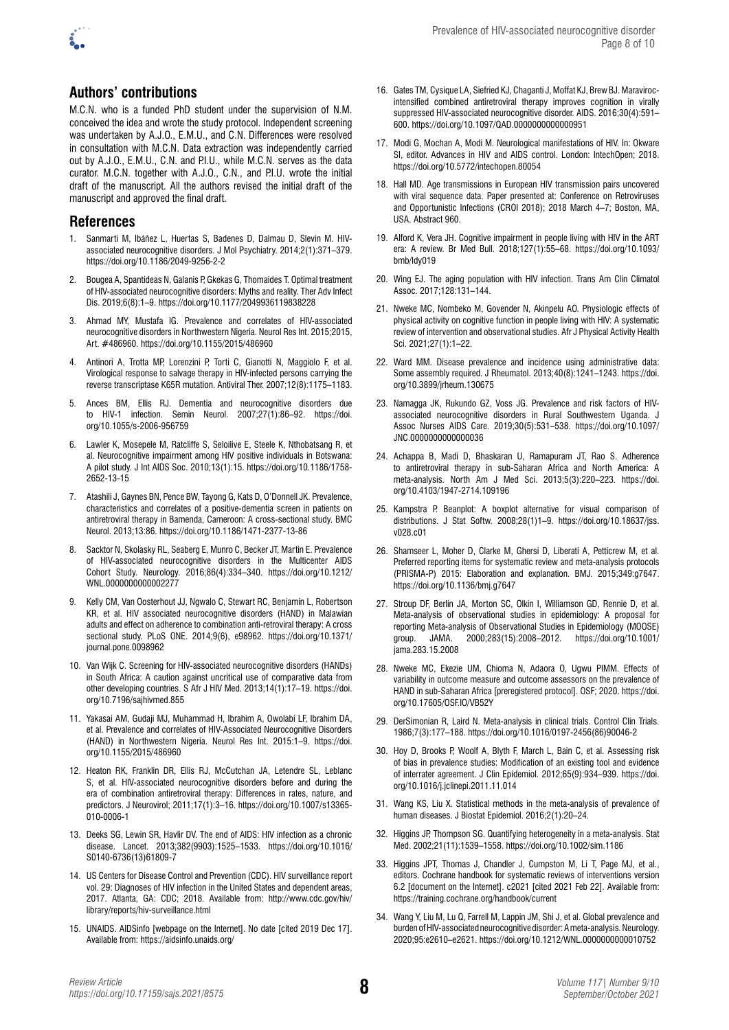

# **Authors' contributions**

M.C.N. who is a funded PhD student under the supervision of N.M. conceived the idea and wrote the study protocol. Independent screening was undertaken by A.J.O., E.M.U., and C.N. Differences were resolved in consultation with M.C.N. Data extraction was independently carried out by A.J.O., E.M.U., C.N. and P.I.U., while M.C.N. serves as the data curator. M.C.N. together with A.J.O., C.N., and P.I.U. wrote the initial draft of the manuscript. All the authors revised the initial draft of the manuscript and approved the final draft.

## **References**

- 1. Sanmarti M, Ibáñez L, Huertas S, Badenes D, Dalmau D, Slevin M. HIVassociated neurocognitive disorders. J Mol Psychiatry. 2014;2(1):371–379. <https://doi.org/10.1186/2049-9256-2-2>
- 2. Bougea A, Spantideas N, Galanis P, Gkekas G, Thomaides T. Optimal treatment of HIV-associated neurocognitive disorders: Myths and reality. Ther Adv Infect Dis. 2019;6(8):1–9. <https://doi.org/10.1177/2049936119838228>
- 3. Ahmad MY, Mustafa IG. Prevalence and correlates of HIV-associated neurocognitive disorders in Northwestern Nigeria. Neurol Res Int. 2015;2015, Art. #486960.<https://doi.org/10.1155/2015/486960>
- 4. Antinori A, Trotta MP, Lorenzini P, Torti C, Gianotti N, Maggiolo F, et al. Virological response to salvage therapy in HIV-infected persons carrying the reverse transcriptase K65R mutation. Antiviral Ther. 2007;12(8):1175–1183.
- 5. Ances BM, Ellis RJ. Dementia and neurocognitive disorders due to HIV-1 infection. Semin Neurol. 2007;27(1):86–92. [https://doi.](https://doi.org/10.1055/s-2006-956759) [org/10.1055/s-2006-956759](https://doi.org/10.1055/s-2006-956759)
- 6. Lawler K, Mosepele M, Ratcliffe S, Seloilive E, Steele K, Nthobatsang R, et al. Neurocognitive impairment among HIV positive individuals in Botswana: A pilot study. J Int AIDS Soc. 2010;13(1):15. [https://doi.org/10.1186/1758-](https://doi.org/10.1186/1758-2652-13-15) [2652-13-15](https://doi.org/10.1186/1758-2652-13-15)
- 7. Atashili J, Gaynes BN, Pence BW, Tayong G, Kats D, O'Donnell JK. Prevalence, characteristics and correlates of a positive-dementia screen in patients on antiretroviral therapy in Bamenda, Cameroon: A cross-sectional study. BMC Neurol. 2013;13:86.<https://doi.org/10.1186/1471-2377-13-86>
- 8. Sacktor N, Skolasky RL, Seaberg E, Munro C, Becker JT, Martin E. Prevalence of HIV-associated neurocognitive disorders in the Multicenter AIDS Cohort Study. Neurology. 2016;86(4):334–340. [https://doi.org/10.1212/](https://doi.org/10.1212/WNL.0000000000002277) [WNL.0000000000002277](https://doi.org/10.1212/WNL.0000000000002277)
- 9. Kelly CM, Van Oosterhout JJ, Ngwalo C, Stewart RC, Benjamin L, Robertson KR, et al. HIV associated neurocognitive disorders (HAND) in Malawian adults and effect on adherence to combination anti-retroviral therapy: A cross sectional study. PLoS ONE. 2014;9(6), e98962. [https://doi.org/10.1371/](https://doi.org/10.1371/journal.pone.0098962) [journal.pone.0098962](https://doi.org/10.1371/journal.pone.0098962)
- 10. Van Wijk C. Screening for HIV-associated neurocognitive disorders (HANDs) in South Africa: A caution against uncritical use of comparative data from other developing countries. S Afr J HIV Med. 2013;14(1):17–19. [https://doi.](https://doi.org/10.7196/sajhivmed.855) [org/10.7196/sajhivmed.855](https://doi.org/10.7196/sajhivmed.855)
- 11. Yakasai AM, Gudaji MJ, Muhammad H, Ibrahim A, Owolabi LF, Ibrahim DA, et al. Prevalence and correlates of HIV-Associated Neurocognitive Disorders (HAND) in Northwestern Nigeria. Neurol Res Int. 2015:1–9. [https://doi.](https://doi.org/10.1155/2015/486960) [org/10.1155/2015/486960](https://doi.org/10.1155/2015/486960)
- 12. Heaton RK, Franklin DR, Ellis RJ, McCutchan JA, Letendre SL, Leblanc S, et al. HIV-associated neurocognitive disorders before and during the era of combination antiretroviral therapy: Differences in rates, nature, and predictors. J Neurovirol; 2011;17(1):3–16. [https://doi.org/10.1007/s13365-](https://doi.org/10.1007/s13365-010-0006-1) [010-0006-1](https://doi.org/10.1007/s13365-010-0006-1)
- 13. Deeks SG, Lewin SR, Havlir DV. The end of AIDS: HIV infection as a chronic disease. Lancet. 2013;382(9903):1525–1533. [https://doi.org/10.1016/](https://doi.org/10.1016/S0140-6736(13)61809-7) [S0140-6736\(13\)61809-7](https://doi.org/10.1016/S0140-6736(13)61809-7)
- 14. US Centers for Disease Control and Prevention (CDC). HIV surveillance report vol. 29: Diagnoses of HIV infection in the United States and dependent areas, 2017. Atlanta, GA: CDC; 2018. Available from: [http://www.cdc.gov/hiv/](http://www.cdc.gov/hiv/library/reports/hiv-surveillance.html) [library/reports/hiv-surveillance.html](http://www.cdc.gov/hiv/library/reports/hiv-surveillance.html)
- 15. UNAIDS. AIDSinfo [webpage on the Internet]. No date [cited 2019 Dec 17]. Available from: <https://aidsinfo.unaids.org>/
- 16. Gates TM, Cysique LA, Siefried KJ, Chaganti J, Moffat KJ, Brew BJ. Maravirocintensified combined antiretroviral therapy improves cognition in virally suppressed HIV-associated neurocognitive disorder. AIDS. 2016;30(4):591– 600. <https://doi.org/10.1097/QAD.0000000000000951>
- 17. Modi G, Mochan A, Modi M. Neurological manifestations of HIV. In: [Okware](https://www.intechopen.com/profiles/178641) SI, editor. Advances in HIV and AIDS control. London: IntechOpen; 2018. <https://doi.org/10.5772/intechopen.80054>
- 18. Hall MD. Age transmissions in European HIV transmission pairs uncovered with viral sequence data. Paper presented at: Conference on Retroviruses and Opportunistic Infections (CROI 2018); 2018 March 4–7; Boston, MA, USA. Abstract 960.
- 19. Alford K, Vera JH. Cognitive impairment in people living with HIV in the ART era: A review. Br Med Bull. 2018;127(1):55–68. [https://doi.org/10.1093/](https://doi.org/10.1093/bmb/ldy019) [bmb/ldy019](https://doi.org/10.1093/bmb/ldy019)
- 20. Wing EJ. The aging population with HIV infection. Trans Am Clin Climatol Assoc. 2017;128:131–144.
- 21. Nweke MC, Nombeko M, Govender N, Akinpelu AO. Physiologic effects of physical activity on cognitive function in people living with HIV: A systematic review of intervention and observational studies. Afr J Physical Activity Health Sci. 2021;27(1):1–22.
- 22. Ward MM. Disease prevalence and incidence using administrative data: Some assembly required. J Rheumatol. 2013;40(8):1241–1243. [https://doi.](https://doi.org/10.3899/jrheum.130675) [org/10.3899/jrheum.130675](https://doi.org/10.3899/jrheum.130675)
- 23. Namagga JK, Rukundo GZ, Voss JG. Prevalence and risk factors of HIVassociated neurocognitive disorders in Rural Southwestern Uganda. J Assoc Nurses AIDS Care. 2019;30(5):531–538. [https://doi.org/10.1097/](https://doi.org/10.1097/JNC.0000000000000036) [JNC.0000000000000036](https://doi.org/10.1097/JNC.0000000000000036)
- 24. Achappa B, Madi D, Bhaskaran U, Ramapuram JT, Rao S. Adherence to antiretroviral therapy in sub-Saharan Africa and North America: A meta-analysis. North Am J Med Sci. 2013;5(3):220–223. [https://doi.](https://doi.org/10.4103/1947-2714.109196) [org/10.4103/1947-2714.109196](https://doi.org/10.4103/1947-2714.109196)
- 25. Kampstra P. Beanplot: A boxplot alternative for visual comparison of distributions. J Stat Softw. 2008;28(1)1–9. [https://doi.org/10.18637/jss.](https://doi.org/10.18637/jss.v028.c01) [v028.c01](https://doi.org/10.18637/jss.v028.c01)
- 26. Shamseer L, Moher D, Clarke M, Ghersi D, Liberati A, Petticrew M, et al. Preferred reporting items for systematic review and meta-analysis protocols (PRISMA-P) 2015: Elaboration and explanation. BMJ. 2015;349:g7647. <https://doi.org/10.1136/bmj.g7647>
- 27. Stroup DF, Berlin JA, Morton SC, Olkin I, Williamson GD, Rennie D, et al. Meta-analysis of observational studies in epidemiology: A proposal for reporting Meta-analysis of Observational Studies in Epidemiology (MOOSE) group. JAMA. 2000;283(15):2008–2012. [https://doi.org/10.1001/](https://doi.org/10.1001/jama.283.15.2008) [jama.283.15.2008](https://doi.org/10.1001/jama.283.15.2008)
- 28. Nweke MC, Ekezie UM, Chioma N, Adaora O, Ugwu PIMM. Effects of variability in outcome measure and outcome assessors on the prevalence of HAND in sub-Saharan Africa [preregistered protocol]. OSF; 2020. [https://doi.](https://doi.org/10.17605/OSF.IO/VB52Y) [org/10.17605/OSF.IO/VB52Y](https://doi.org/10.17605/OSF.IO/VB52Y)
- 29. DerSimonian R, Laird N. Meta-analysis in clinical trials. Control Clin Trials. 1986;7(3):177–188. [https://doi.org/10.1016/0197-2456\(86\)90046-2](https://doi.org/10.1016/0197-2456(86)90046-2)
- 30. Hoy D, Brooks P, Woolf A, Blyth F, March L, Bain C, et al. Assessing risk of bias in prevalence studies: Modification of an existing tool and evidence of interrater agreement. J Clin Epidemiol. 2012;65(9):934–939. [https://doi.](https://doi.org/10.1016/j.jclinepi.2011.11.014) [org/10.1016/j.jclinepi.2011.11.014](https://doi.org/10.1016/j.jclinepi.2011.11.014)
- 31. Wang KS, Liu X. Statistical methods in the meta-analysis of prevalence of human diseases. J Biostat Epidemiol. 2016;2(1):20–24.
- 32. Higgins JP, Thompson SG. Quantifying heterogeneity in a meta-analysis. Stat Med. 2002;21(11):1539–1558.<https://doi.org/10.1002/sim.1186>
- 33. Higgins JPT, Thomas J, Chandler J, Cumpston M, Li T, Page MJ, et al., editors. Cochrane handbook for systematic reviews of interventions version 6.2 [document on the Internet]. c2021 [cited 2021 Feb 22]. Available from: <https://training.cochrane.org/handbook/current>
- 34. Wang Y, Liu M, Lu Q, Farrell M, Lappin JM, Shi J, et al. Global prevalence and burden of HIV-associated neurocognitive disorder: A meta-analysis. Neurology. 2020;95:e2610–e2621. <https://doi.org/10.1212/WNL.0000000000010752>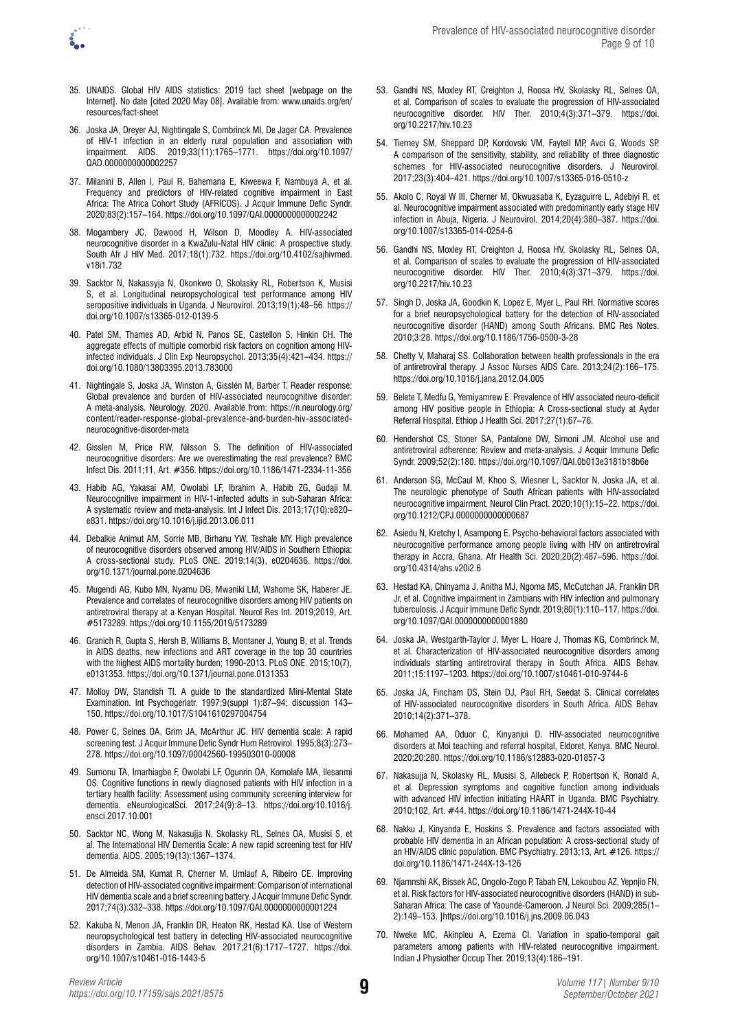

- 35. UNAIDS. Global HIV AIDS statistics: 2019 fact sheet [webpage on the Internet]. No date [cited 2020 May 08]. Available from: [www.unaids.org/en/](www.unaids.org/en/resources/fact-sheet) [resources/fact-sheet](www.unaids.org/en/resources/fact-sheet)
- 36. Joska JA, Dreyer AJ, Nightingale S, Combrinck MI, De Jager CA. Prevalence of HIV-1 infection in an elderly rural population and association with impairment. AIDS. 2019;33(11):1765–1771. [https://doi.org/10.1097/](https://doi.org/10.1097/QAD.0000000000002257) [QAD.0000000000002257](https://doi.org/10.1097/QAD.0000000000002257)
- 37. Milanini B, Allen I, Paul R, Bahemana E, Kiweewa F, Nambuya A, et al. Frequency and predictors of HIV-related cognitive impairment in East Africa: The Africa Cohort Study (AFRICOS). J Acquir Immune Defic Syndr. 2020;83(2):157–164.<https://doi.org/10.1097/QAI.0000000000002242>
- 38. Mogambery JC, Dawood H, Wilson D, Moodley A. HIV-associated neurocognitive disorder in a KwaZulu-Natal HIV clinic: A prospective study. South Afr J HIV Med. 2017;18(1):732. [https://doi.org/10.4102/sajhivmed.](https://doi.org/10.4102/sajhivmed.v18i1.732) [v18i1.732](https://doi.org/10.4102/sajhivmed.v18i1.732)
- 39. Sacktor N, Nakassyja N, Okonkwo O, Skolasky RL, Robertson K, Musisi S, et al. Longitudinal neuropsychological test performance among HIV seropositive individuals in Uganda. J Neurovirol. 2013;19(1):48–56. [https://](https://doi.org/10.1007/s13365-012-0139-5) [doi.org/10.1007/s13365-012-0139-5](https://doi.org/10.1007/s13365-012-0139-5)
- 40. Patel SM, Thames AD, Arbid N, Panos SE, Castellon S, Hinkin CH. The aggregate effects of multiple comorbid risk factors on cognition among HIVinfected individuals. J Clin Exp Neuropsychol. 2013;35(4):421–434. [https://](https://doi.org/10.1080/13803395.2013.783000) [doi.org/10.1080/13803395.2013.783000](https://doi.org/10.1080/13803395.2013.783000)
- 41. Nightingale S, Joska JA, Winston A, Gisslén M, Barber T. Reader response: Global prevalence and burden of HIV-associated neurocognitive disorder: A meta-analysis. Neurology. 2020. Available from: [https://n.neurology.org/](https://n.neurology.org/content/reader-response-global-prevalence-and-burden-hiv-associated-neurocognitive-disorder-meta) [content/reader-response-global-prevalence-and-burden-hiv-associated](https://n.neurology.org/content/reader-response-global-prevalence-and-burden-hiv-associated-neurocognitive-disorder-meta)[neurocognitive-disorder-meta](https://n.neurology.org/content/reader-response-global-prevalence-and-burden-hiv-associated-neurocognitive-disorder-meta)
- 42. Gisslen M, Price RW, Nilsson S. The definition of HIV-associated neurocognitive disorders: Are we overestimating the real prevalence? BMC Infect Dis. 2011;11, Art. #356.<https://doi.org/10.1186/1471-2334-11-356>
- 43. Habib AG, Yakasai AM, Owolabi LF, Ibrahim A, Habib ZG, Gudaji M. Neurocognitive impairment in HIV-1-infected adults in sub-Saharan Africa: A systematic review and meta-analysis. Int J Infect Dis. 2013;17(10):e820– e831. <https://doi.org/10.1016/j.ijid.2013.06.011>
- 44. Debalkie Animut AM, Sorrie MB, Birhanu YW, Teshale MY. High prevalence of neurocognitive disorders observed among HIV/AIDS in Southern Ethiopia: A cross-sectional study. PLoS ONE. 2019;14(3), e0204636. [https://doi.](https://doi.org/10.1371/journal.pone.0204636) [org/10.1371/journal.pone.0204636](https://doi.org/10.1371/journal.pone.0204636)
- 45. Mugendi AG, Kubo MN, Nyamu DG, Mwaniki LM, Wahome SK, Haberer JE. Prevalence and correlates of neurocognitive disorders among HIV patients on antiretroviral therapy at a Kenyan Hospital. Neurol Res Int. 2019;2019, Art. #5173289.<https://doi.org/10.1155/2019/5173289>
- 46. Granich R, Gupta S, Hersh B, Williams B, Montaner J, Young B, et al. Trends in AIDS deaths, new infections and ART coverage in the top 30 countries with the highest AIDS mortality burden; 1990-2013. PLoS ONE. 2015;10(7), e0131353. <https://doi.org/10.1371/journal.pone.0131353>
- 47. Molloy DW, Standish TI. A guide to the standardized Mini-Mental State Examination. Int Psychogeriatr. 1997;9(suppl 1):87–94; discussion 143– 150. <https://doi.org/10.1017/S1041610297004754>
- 48. Power C, Selnes OA, Grim JA, McArthur JC. HIV dementia scale: A rapid screening test. J Acquir Immune Defic Syndr Hum Retrovirol. 1995;8(3):273– 278. <https://doi.org/10.1097/00042560-199503010-00008>
- 49. Sumonu TA, Imarhiagbe F, Owolabi LF, Ogunrin OA, Komolafe MA, Ilesanmi OS. Cognitive functions in newly diagnosed patients with HIV infection in a tertiary health facility: Assessment using community screening interview for dementia. eNeurologicalSci. 2017;24(9):8–13. [https://doi.org/10.1016/j.](https://doi.org/10.1016/j.ensci.2017.10.001) [ensci.2017.10.001](https://doi.org/10.1016/j.ensci.2017.10.001)
- 50. Sacktor NC, Wong M, Nakasujja N, Skolasky RL, Selnes OA, Musisi S, et al. The International HIV Dementia Scale: A new rapid screening test for HIV dementia. AIDS. 2005;19(13):1367–1374.
- 51. De Almeida SM, Kumat R, Cherner M, Umlauf A, Ribeiro CE. Improving detection of HIV-associated cognitive impairment: Comparison of international HIV dementia scale and a brief screening battery. J Acquir Immune Defic Syndr. 2017;74(3):332–338.<https://doi.org/10.1097/QAI.0000000000001224>
- 52. Kakuba N, Menon JA, Franklin DR, Heaton RK, Hestad KA. Use of Western neuropsychological test battery in detecting HIV-associated neurocognitive disorders in Zambia. AIDS Behav. 2017;21(6):1717–1727. [https://doi.](https://doi.org/10.1007/s10461-016-1443-5) [org/10.1007/s10461-016-1443-5](https://doi.org/10.1007/s10461-016-1443-5)
- 53. Gandhi NS, Moxley RT, Creighton J, Roosa HV, Skolasky RL, Selnes OA, et al. Comparison of scales to evaluate the progression of HIV-associated neurocognitive disorder. HIV Ther. 2010;4(3):371–379. [https://doi.](https://doi.org/10.2217/hiv.10.23) [org/10.2217/hiv.10.23](https://doi.org/10.2217/hiv.10.23)
- 54. Tierney SM, Sheppard DP, Kordovski VM, Faytell MP, Avci G, Woods SP. A comparison of the sensitivity, stability, and reliability of three diagnostic schemes for HIV-associated neurocognitive disorders. J Neurovirol. 2017;23(3):404–421.<https://doi.org/10.1007/s13365-016-0510-z>
- 55. Akolo C, Royal W III, Cherner M, Okwuasaba K, Eyzaguirre L, Adebiyi R, et al. Neurocognitive impairment associated with predominantly early stage HIV infection in Abuja, Nigeria. J Neurovirol. 2014;20(4):380–387. [https://doi.](https://doi.org/10.1007/s13365-014-0254-6) [org/10.1007/s13365-014-0254-6](https://doi.org/10.1007/s13365-014-0254-6)
- 56. Gandhi NS, Moxley RT, Creighton J, Roosa HV, Skolasky RL, Selnes OA, et al. Comparison of scales to evaluate the progression of HIV-associated neurocognitive disorder. HIV Ther. 2010;4(3):371–379. [https://doi.](https://doi.org/10.2217/hiv.10.23) [org/10.2217/hiv.10.23](https://doi.org/10.2217/hiv.10.23)
- 57. Singh D, Joska JA, Goodkin K, Lopez E, Myer L, Paul RH. Normative scores for a brief neuropsychological battery for the detection of HIV-associated neurocognitive disorder (HAND) among South Africans. BMC Res Notes. 2010;3:28.<https://doi.org/10.1186/1756-0500-3-28>
- 58. Chetty V, Maharaj SS. Collaboration between health professionals in the era of antiretroviral therapy. J Assoc Nurses AIDS Care. 2013;24(2):166–175. <https://doi.org/10.1016/j.jana.2012.04.005>
- 59. Belete T, Medfu G, Yemiyamrew E. Prevalence of HIV associated neuro-deficit among HIV positive people in Ethiopia: A Cross-sectional study at Ayder Referral Hospital. Ethiop J Health Sci. 2017;27(1):67–76.
- 60. Hendershot CS, Stoner SA, Pantalone DW, Simoni JM. Alcohol use and antiretroviral adherence: Review and meta-analysis. J Acquir Immune Defic Syndr. 2009;52(2):180. <https://doi.org/10.1097/QAI.0b013e3181b18b6e>
- 61. Anderson SG, McCaul M, Khoo S, Wiesner L, Sacktor N, Joska JA, et al. The neurologic phenotype of South African patients with HIV-associated neurocognitive impairment. Neurol Clin Pract. 2020;10(1):15–22. [https://doi.](https://doi.org/10.1212/CPJ.0000000000000687) [org/10.1212/CPJ.0000000000000687](https://doi.org/10.1212/CPJ.0000000000000687)
- 62. Asiedu N, Kretchy I, Asampong E. Psycho-behavioral factors associated with neurocognitive performance among people living with HIV on antiretroviral therapy in Accra, Ghana. Afr Health Sci. 2020;20(2):487–596. [https://doi.](https://doi.org/10.4314/ahs.v20i2.6) [org/10.4314/ahs.v20i2.6](https://doi.org/10.4314/ahs.v20i2.6)
- 63. Hestad KA, Chinyama J, Anitha MJ, Ngoma MS, McCutchan JA, Franklin DR Jr, et al. Cognitive impairment in Zambians with HIV infection and pulmonary tuberculosis. J Acquir Immune Defic Syndr. 2019;80(1):110–117. [https://doi.](https://doi.org/10.1097/QAI.0000000000001880) [org/10.1097/QAI.0000000000001880](https://doi.org/10.1097/QAI.0000000000001880)
- 64. Joska JA, Westgarth-Taylor J, Myer L, Hoare J, Thomas KG, Combrinck M, et al. Characterization of HIV-associated neurocognitive disorders among individuals starting antiretroviral therapy in South Africa. AIDS Behav. 2011;15:1197–1203.<https://doi.org/10.1007/s10461-010-9744-6>
- 65. Joska JA, Fincham DS, Stein DJ, Paul RH, Seedat S. Clinical correlates of HIV-associated neurocognitive disorders in South Africa. AIDS Behav. 2010;14(2):371–378.
- 66. Mohamed AA, Oduor C, Kinyanjui D. HIV-associated neurocognitive disorders at Moi teaching and referral hospital, Eldoret, Kenya. BMC Neurol. 2020;20:280. <https://doi.org/10.1186/s12883-020-01857-3>
- 67. Nakasujja N, Skolasky RL, Musisi S, Allebeck P, Robertson K, Ronald A, et al*.* Depression symptoms and cognitive function among individuals with advanced HIV infection initiating HAART in Uganda. BMC Psychiatry. 2010;102, Art. #44. <https://doi.org/10.1186/1471-244X-10-44>
- 68. Nakku J, Kinyanda E, Hoskins S. Prevalence and factors associated with probable HIV dementia in an African population: A cross-sectional study of an HIV/AIDS clinic population. BMC Psychiatry. 2013;13, Art. #126. [https://](https://doi.org/10.1186/1471-244X-13-126) [doi.org/10.1186/1471-244X-13-126](https://doi.org/10.1186/1471-244X-13-126)
- 69. Njamnshi AK, Bissek AC, Ongolo-Zogo P, Tabah EN, Lekoubou AZ, Yepnjio FN, et al. Risk factors for HIV-associated neurocognitive disorders (HAND) in sub-Saharan Africa: The case of Yaoundé-Cameroon. J Neurol Sci. 2009;285(1– 2):149–153. ]<https://doi.org/10.1016/j.jns.2009.06.043>
- 70. Nweke MC, Akinpleu A, Ezema CI. Variation in spatio-temporal gait parameters among patients with HIV-related neurocognitive impairment. Indian J Physiother Occup Ther. 2019;13(4):186–191.